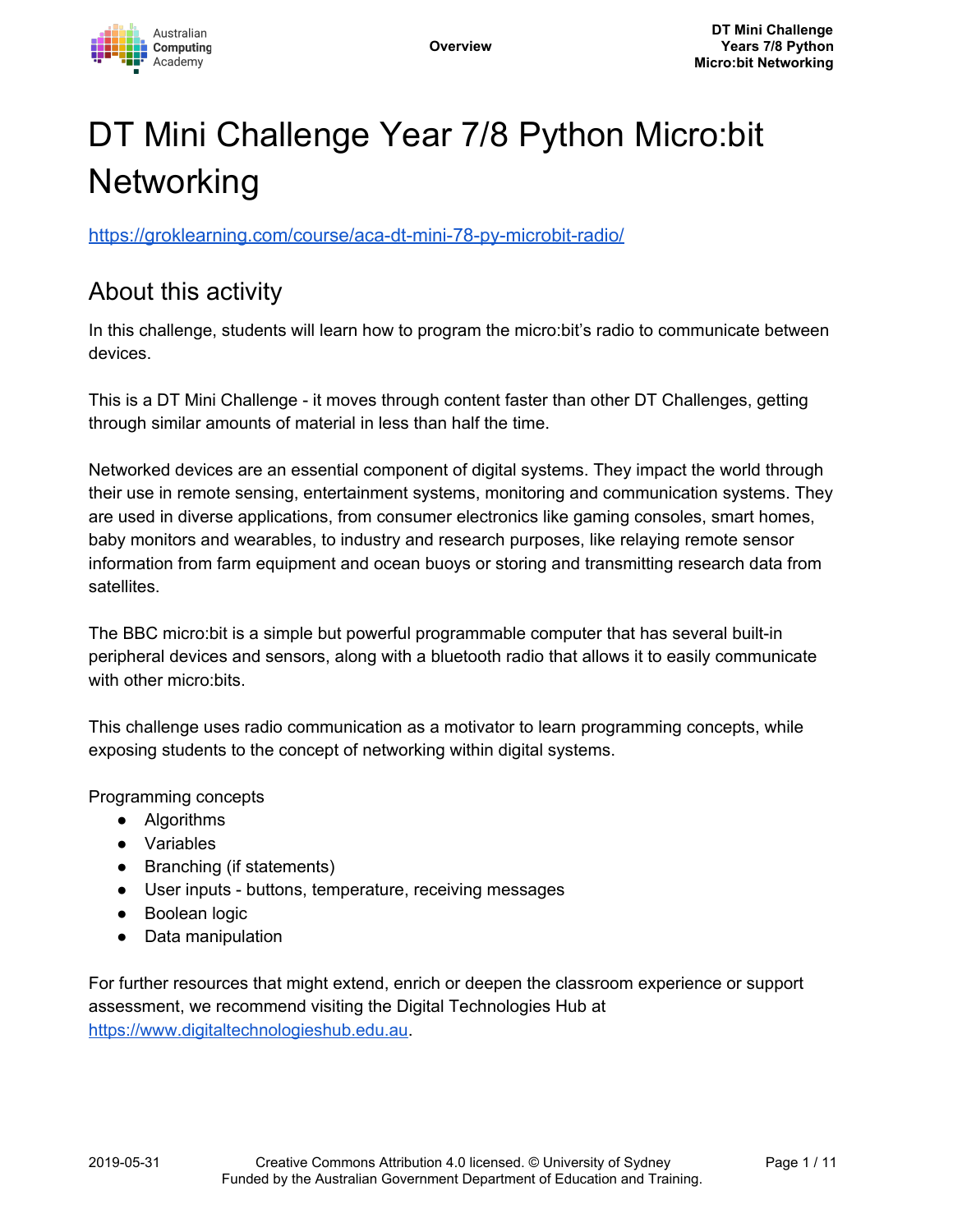

# DT Mini Challenge Year 7/8 Python Micro:bit **Networking**

<https://groklearning.com/course/aca-dt-mini-78-py-microbit-radio/>

## About this activity

In this challenge, students will learn how to program the micro:bit's radio to communicate between devices.

This is a DT Mini Challenge - it moves through content faster than other DT Challenges, getting through similar amounts of material in less than half the time.

Networked devices are an essential component of digital systems. They impact the world through their use in remote sensing, entertainment systems, monitoring and communication systems. They are used in diverse applications, from consumer electronics like gaming consoles, smart homes, baby monitors and wearables, to industry and research purposes, like relaying remote sensor information from farm equipment and ocean buoys or storing and transmitting research data from satellites.

The BBC micro:bit is a simple but powerful programmable computer that has several built-in peripheral devices and sensors, along with a bluetooth radio that allows it to easily communicate with other micro:bits.

This challenge uses radio communication as a motivator to learn programming concepts, while exposing students to the concept of networking within digital systems.

Programming concepts

- Algorithms
- Variables
- Branching (if statements)
- User inputs buttons, temperature, receiving messages
- Boolean logic
- Data manipulation

For further resources that might extend, enrich or deepen the classroom experience or support assessment, we recommend visiting the Digital Technologies Hub at [https://www.digitaltechnologieshub.edu.au](https://www.digitaltechnologieshub.edu.au/).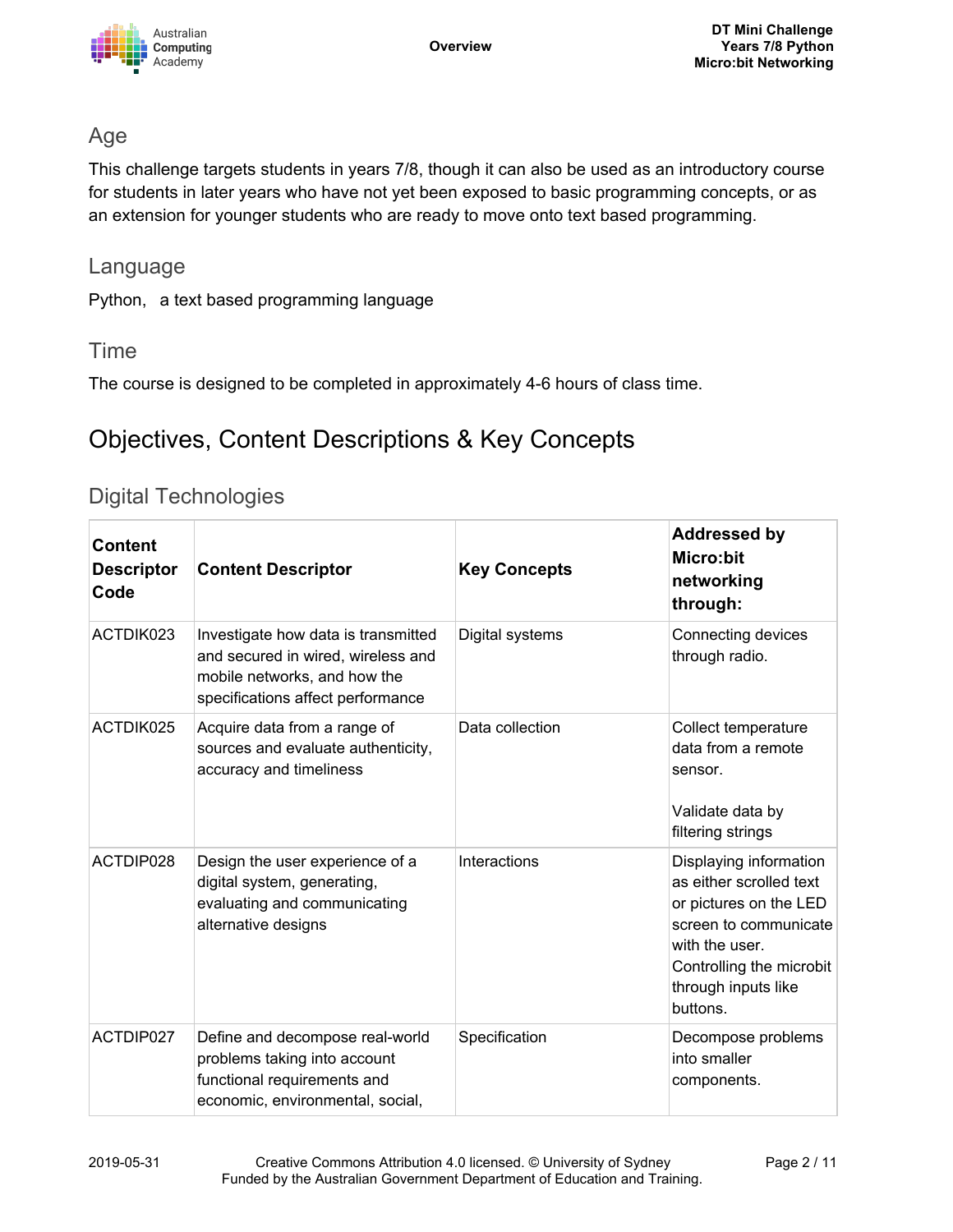

### Age

This challenge targets students in years 7/8, though it can also be used as an introductory course for students in later years who have not yet been exposed to basic programming concepts, or as an extension for younger students who are ready to move onto text based programming.

#### Language

Python, a text based programming language

### Time

The course is designed to be completed in approximately 4-6 hours of class time.

# Objectives, Content Descriptions & Key Concepts

### Digital Technologies

| <b>Content</b><br><b>Descriptor</b><br>Code | <b>Content Descriptor</b>                                                                                                                      | <b>Key Concepts</b> | <b>Addressed by</b><br>Micro:bit<br>networking<br>through:                                                                                                                            |
|---------------------------------------------|------------------------------------------------------------------------------------------------------------------------------------------------|---------------------|---------------------------------------------------------------------------------------------------------------------------------------------------------------------------------------|
| ACTDIK023                                   | Investigate how data is transmitted<br>and secured in wired, wireless and<br>mobile networks, and how the<br>specifications affect performance | Digital systems     | Connecting devices<br>through radio.                                                                                                                                                  |
| ACTDIK025                                   | Acquire data from a range of<br>sources and evaluate authenticity,<br>accuracy and timeliness                                                  | Data collection     | Collect temperature<br>data from a remote<br>sensor.<br>Validate data by<br>filtering strings                                                                                         |
| ACTDIP028                                   | Design the user experience of a<br>digital system, generating,<br>evaluating and communicating<br>alternative designs                          | Interactions        | Displaying information<br>as either scrolled text<br>or pictures on the LED<br>screen to communicate<br>with the user.<br>Controlling the microbit<br>through inputs like<br>buttons. |
| ACTDIP027                                   | Define and decompose real-world<br>problems taking into account<br>functional requirements and<br>economic, environmental, social,             | Specification       | Decompose problems<br>into smaller<br>components.                                                                                                                                     |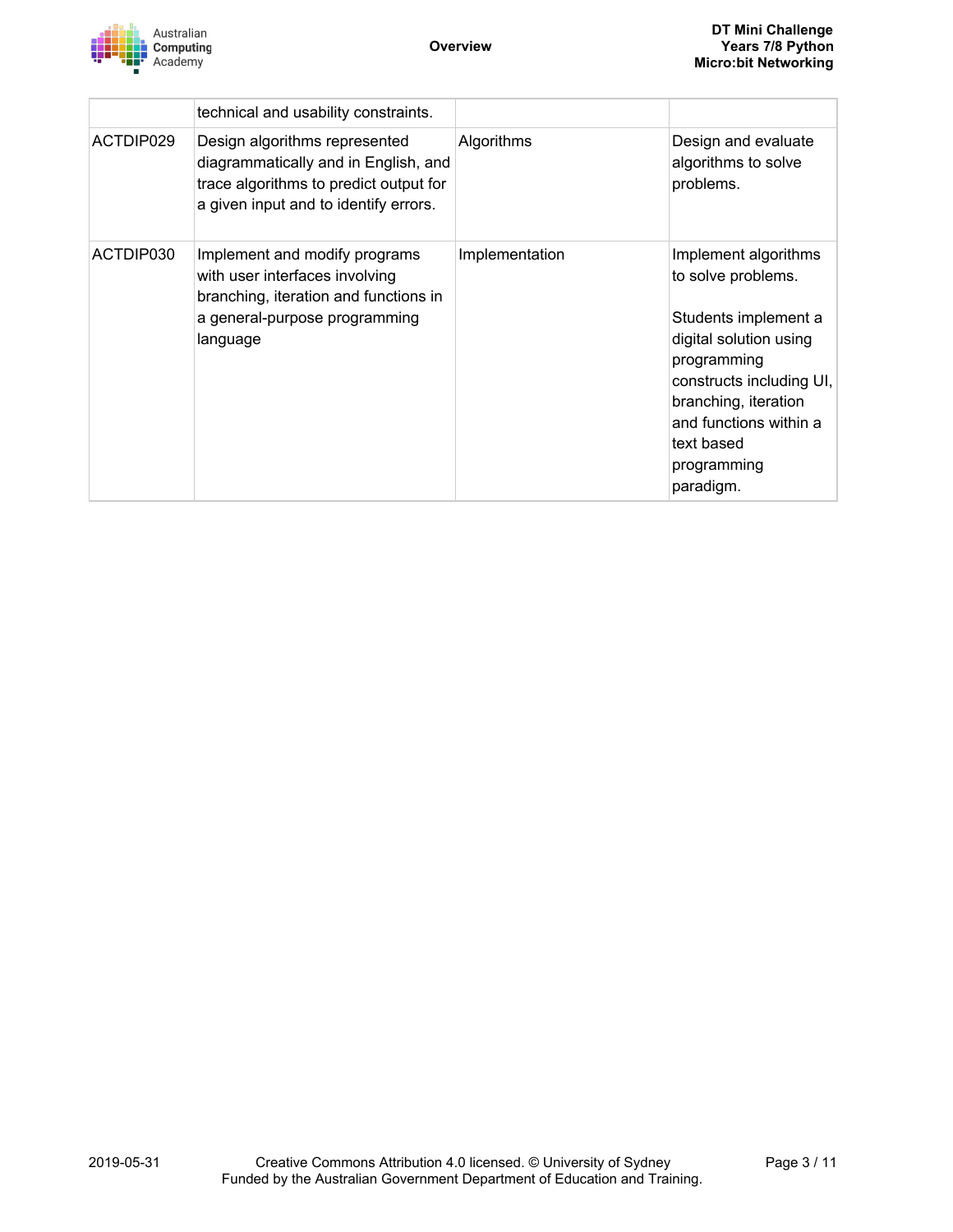

|           | technical and usability constraints.                                                                                                                     |                |                                                                                                                                                                                                                                     |
|-----------|----------------------------------------------------------------------------------------------------------------------------------------------------------|----------------|-------------------------------------------------------------------------------------------------------------------------------------------------------------------------------------------------------------------------------------|
| ACTDIP029 | Design algorithms represented<br>diagrammatically and in English, and<br>trace algorithms to predict output for<br>a given input and to identify errors. | Algorithms     | Design and evaluate<br>algorithms to solve<br>problems.                                                                                                                                                                             |
| ACTDIP030 | Implement and modify programs<br>with user interfaces involving<br>branching, iteration and functions in<br>a general-purpose programming<br>language    | Implementation | Implement algorithms<br>to solve problems.<br>Students implement a<br>digital solution using<br>programming<br>constructs including UI,<br>branching, iteration<br>and functions within a<br>text based<br>programming<br>paradigm. |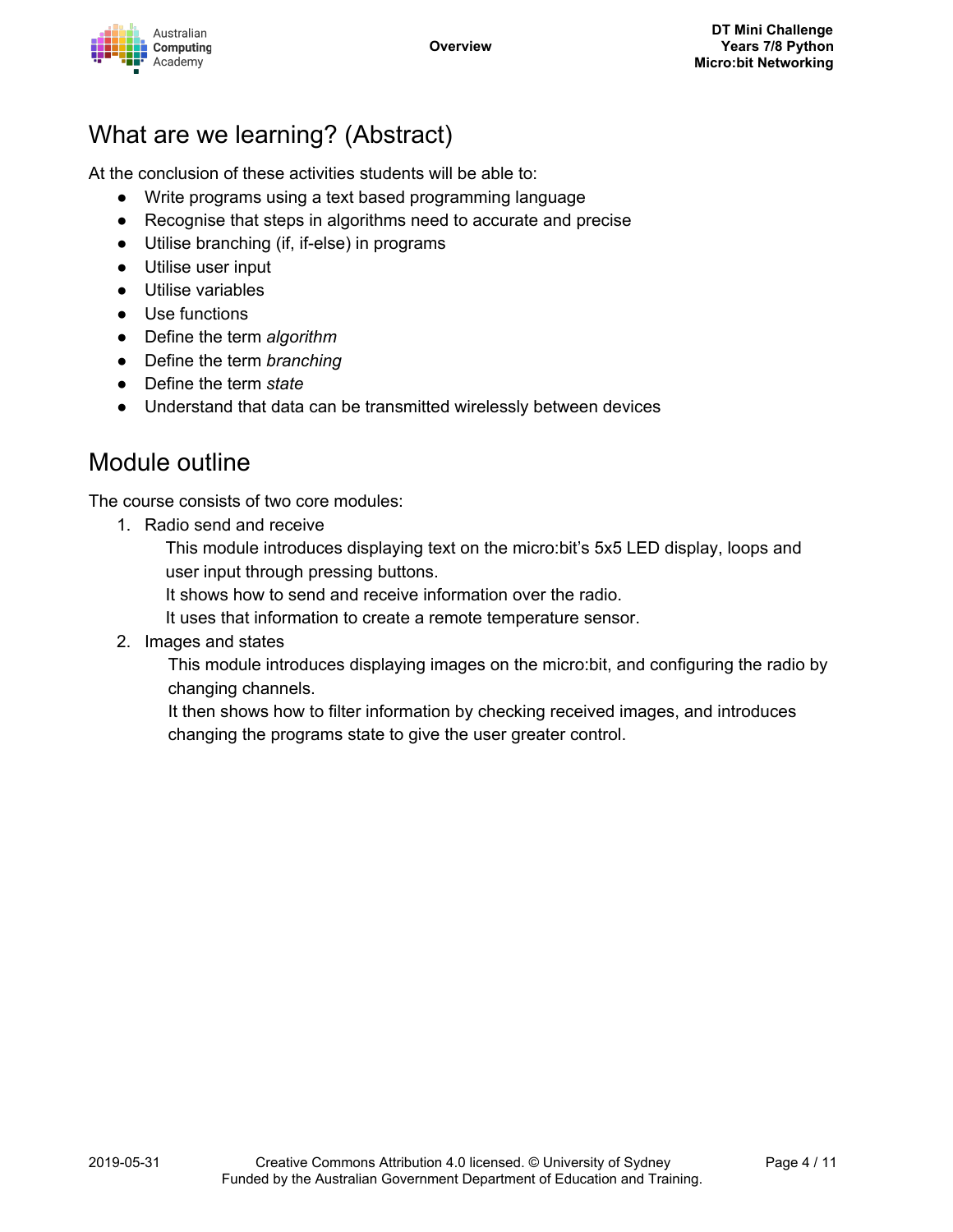

## What are we learning? (Abstract)

At the conclusion of these activities students will be able to:

- Write programs using a text based programming language
- Recognise that steps in algorithms need to accurate and precise
- Utilise branching (if, if-else) in programs
- Utilise user input
- Utilise variables
- Use functions
- Define the term *algorithm*
- Define the term *branching*
- Define the term *state*
- Understand that data can be transmitted wirelessly between devices

## Module outline

The course consists of two core modules:

1. Radio send and receive

This module introduces displaying text on the micro:bit's 5x5 LED display, loops and user input through pressing buttons.

It shows how to send and receive information over the radio.

It uses that information to create a remote temperature sensor.

2. Images and states

This module introduces displaying images on the micro:bit, and configuring the radio by changing channels.

It then shows how to filter information by checking received images, and introduces changing the programs state to give the user greater control.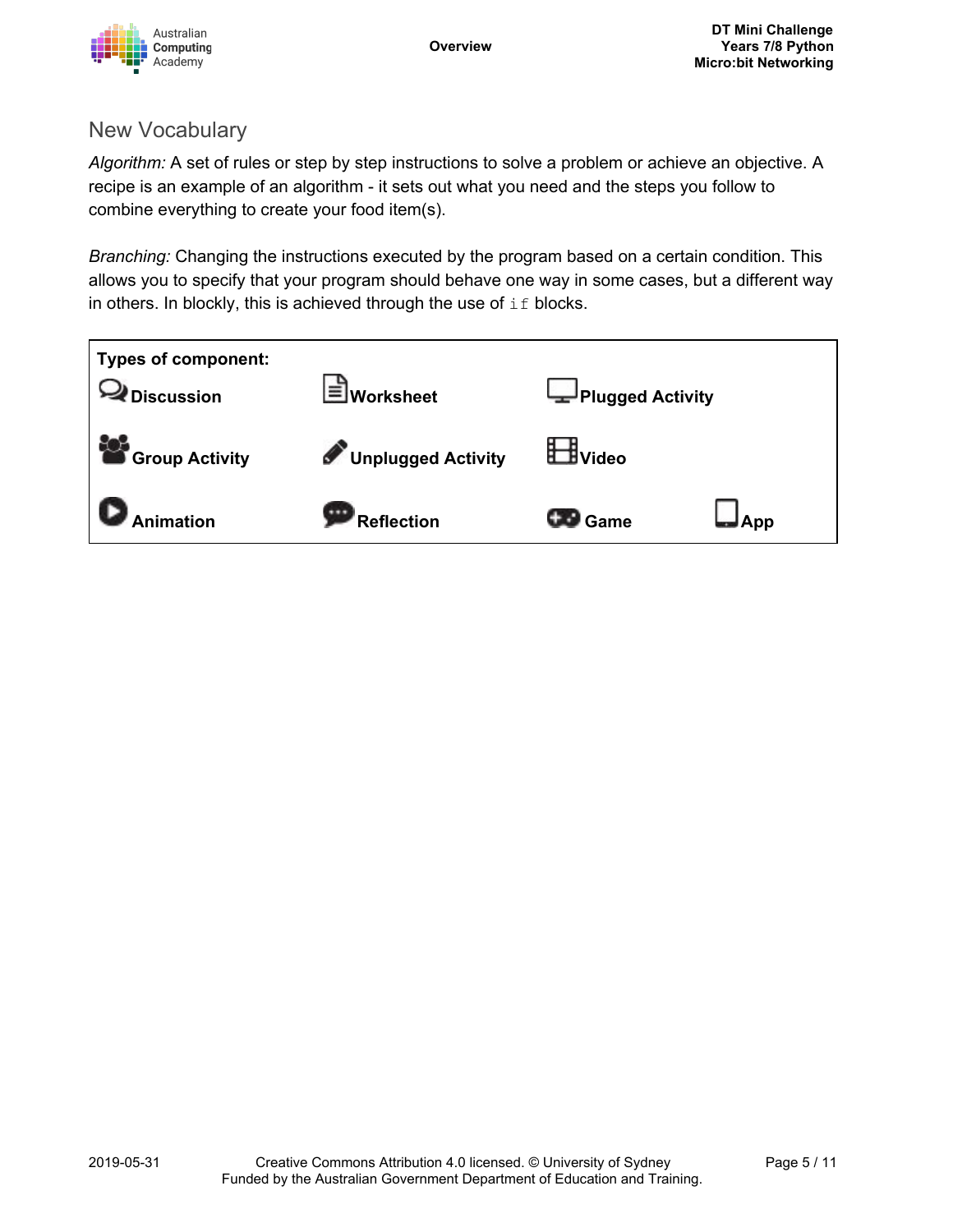

### New Vocabulary

*Algorithm:* A set of rules or step by step instructions to solve a problem or achieve an objective. A recipe is an example of an algorithm - it sets out what you need and the steps you follow to combine everything to create your food item(s).

*Branching:* Changing the instructions executed by the program based on a certain condition. This allows you to specify that your program should behave one way in some cases, but a different way in others. In blockly, this is achieved through the use of  $if$  blocks.

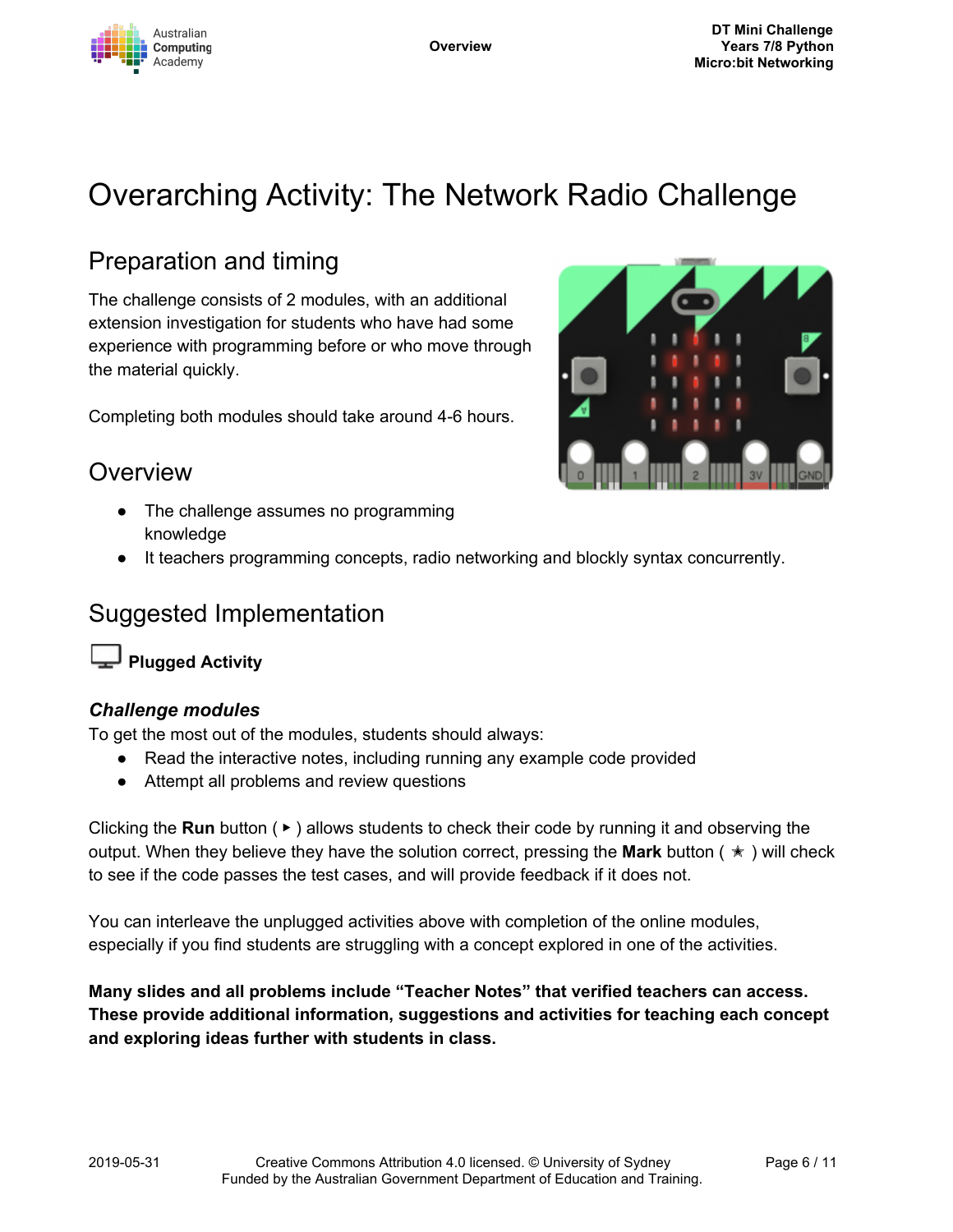

# Overarching Activity: The Network Radio Challenge

## Preparation and timing

The challenge consists of 2 modules, with an additional extension investigation for students who have had some experience with programming before or who move through the material quickly.

Completing both modules should take around 4-6 hours.

## **Overview**

- The challenge assumes no programming knowledge
- It teachers programming concepts, radio networking and blockly syntax concurrently.

## Suggested Implementation

**Plugged Activity**

#### *Challenge modules*

To get the most out of the modules, students should always:

- Read the interactive notes, including running any example code provided
- Attempt all problems and review questions

Clicking the **Run** button ( ▶ ) allows students to check their code by running it and observing the output. When they believe they have the solution correct, pressing the **Mark** button ( ✭ ) will check to see if the code passes the test cases, and will provide feedback if it does not.

You can interleave the unplugged activities above with completion of the online modules, especially if you find students are struggling with a concept explored in one of the activities.

**Many slides and all problems include "Teacher Notes" that verified teachers can access. These provide additional information, suggestions and activities for teaching each concept and exploring ideas further with students in class.**

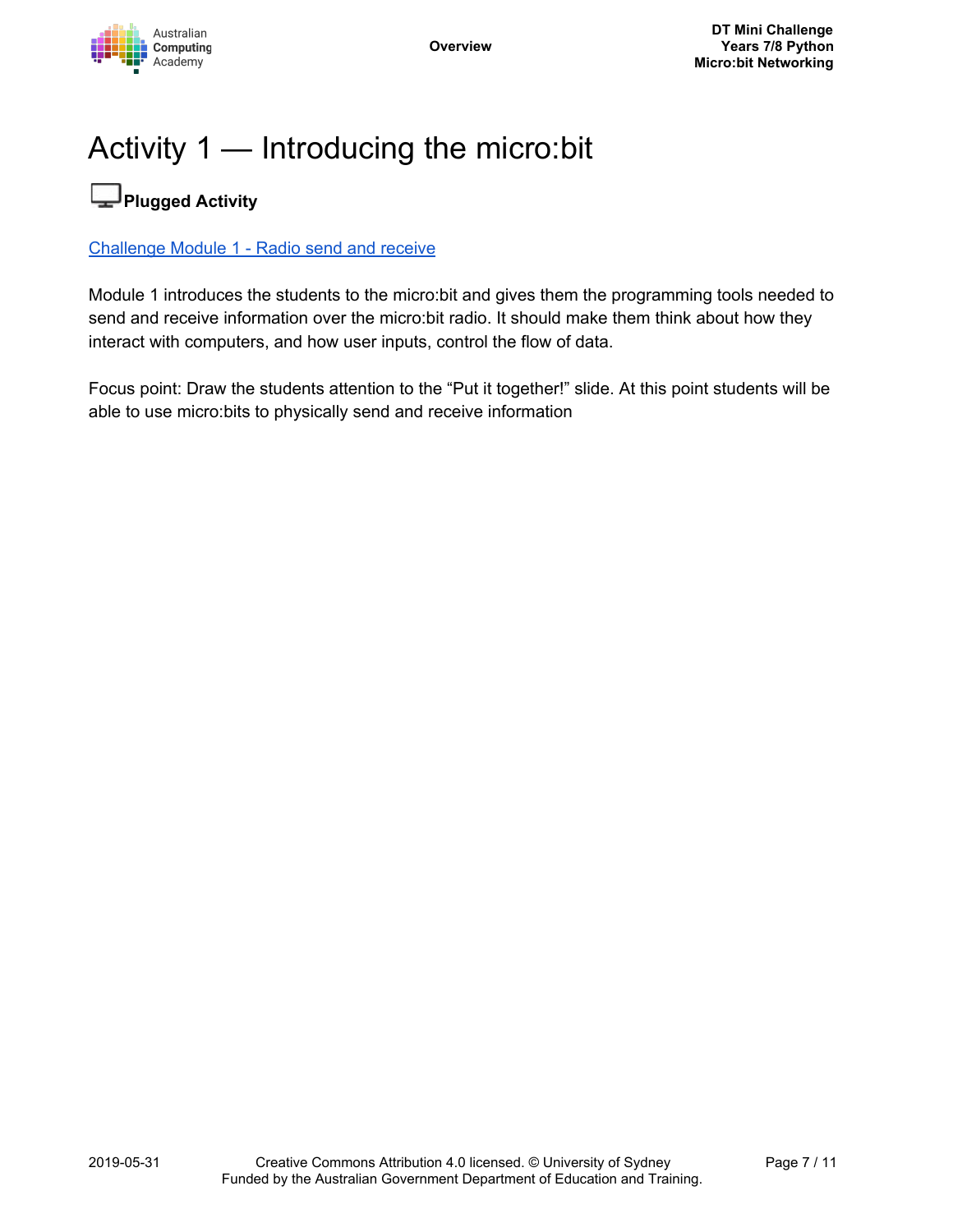# Activity 1 — Introducing the micro:bit

# **Plugged Activity**

#### [Challenge](https://groklearning.com/learn/acadev-dt-mini-56-bk-microbit-radio/send/0/) Module 1 - Radio send and receive

Module 1 introduces the students to the micro:bit and gives them the programming tools needed to send and receive information over the micro:bit radio. It should make them think about how they interact with computers, and how user inputs, control the flow of data.

Focus point: Draw the students attention to the "Put it together!" slide. At this point students will be able to use micro:bits to physically send and receive information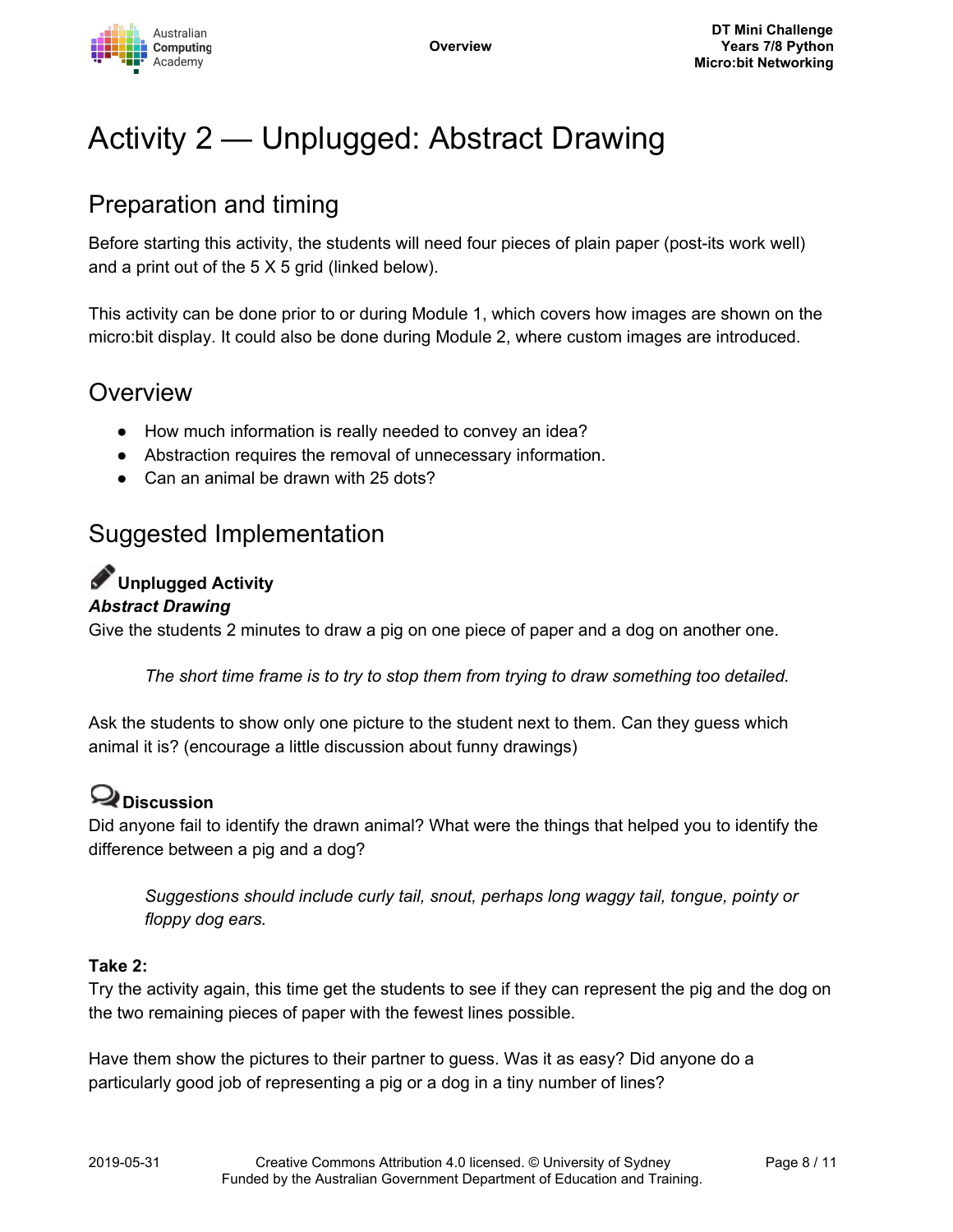

# Activity 2 — Unplugged: Abstract Drawing

## Preparation and timing

Before starting this activity, the students will need four pieces of plain paper (post-its work well) and a print out of the 5 X 5 grid (linked below).

This activity can be done prior to or during Module 1, which covers how images are shown on the micro:bit display. It could also be done during Module 2, where custom images are introduced.

## Overview

- How much information is really needed to convey an idea?
- Abstraction requires the removal of unnecessary information.
- Can an animal be drawn with 25 dots?

## Suggested Implementation

# **Unplugged Activity**

#### *Abstract Drawing*

Give the students 2 minutes to draw a pig on one piece of paper and a dog on another one.

*The short time frame is to try to stop them from trying to draw something too detailed.*

Ask the students to show only one picture to the student next to them. Can they guess which animal it is? (encourage a little discussion about funny drawings)

## **Discussion**

Did anyone fail to identify the drawn animal? What were the things that helped you to identify the difference between a pig and a dog?

*Suggestions should include curly tail, snout, perhaps long waggy tail, tongue, pointy or floppy dog ears.*

#### **Take 2:**

Try the activity again, this time get the students to see if they can represent the pig and the dog on the two remaining pieces of paper with the fewest lines possible.

Have them show the pictures to their partner to guess. Was it as easy? Did anyone do a particularly good job of representing a pig or a dog in a tiny number of lines?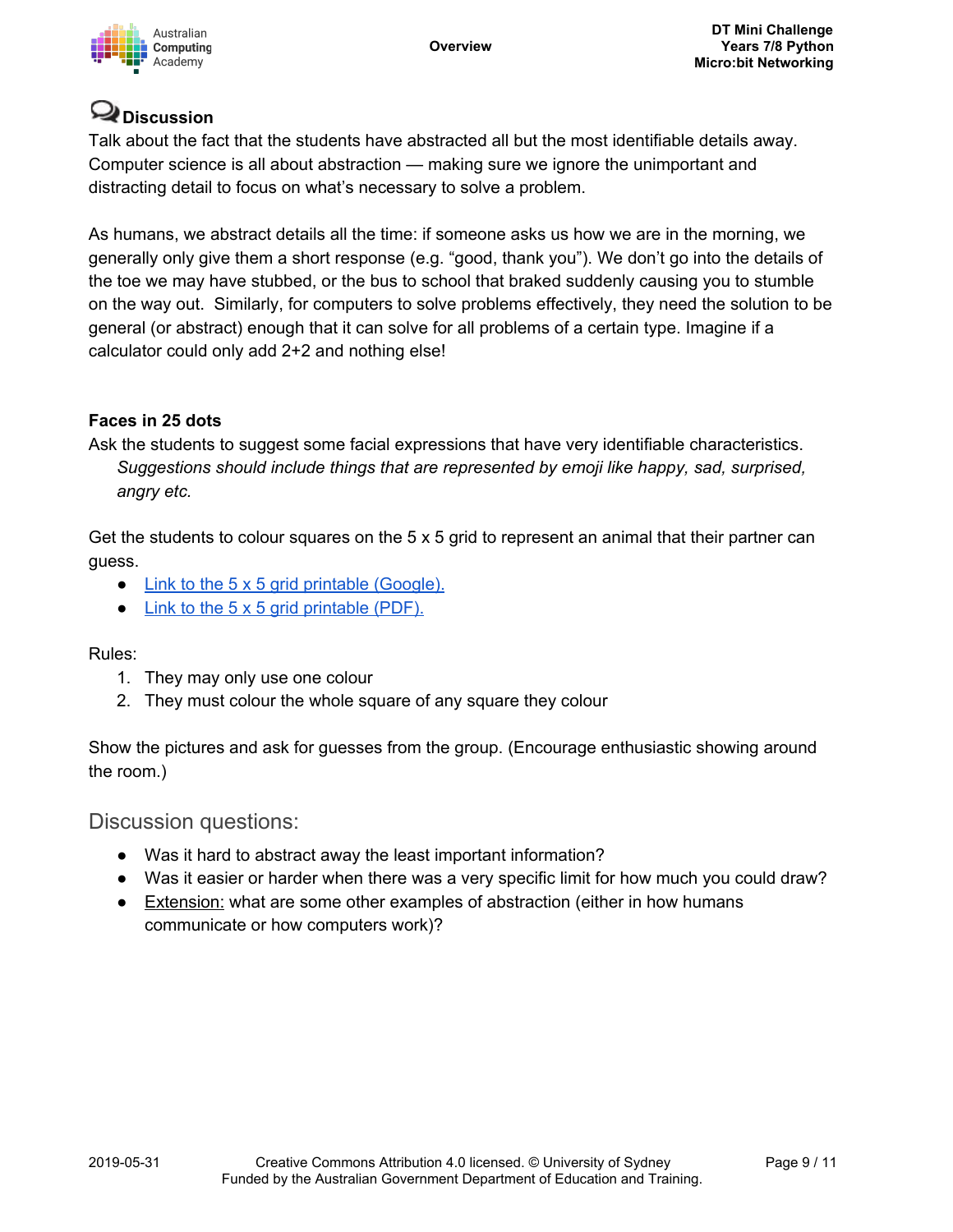

## **Discussion**

Talk about the fact that the students have abstracted all but the most identifiable details away. Computer science is all about abstraction — making sure we ignore the unimportant and distracting detail to focus on what's necessary to solve a problem.

As humans, we abstract details all the time: if someone asks us how we are in the morning, we generally only give them a short response (e.g. "good, thank you"). We don't go into the details of the toe we may have stubbed, or the bus to school that braked suddenly causing you to stumble on the way out. Similarly, for computers to solve problems effectively, they need the solution to be general (or abstract) enough that it can solve for all problems of a certain type. Imagine if a calculator could only add 2+2 and nothing else!

#### **Faces in 25 dots**

Ask the students to suggest some facial expressions that have very identifiable characteristics. *Suggestions should include things that are represented by emoji like happy, sad, surprised, angry etc.*

Get the students to colour squares on the  $5 \times 5$  grid to represent an animal that their partner can guess.

- Link to the 5 x 5 grid printable [\(Google\).](https://docs.google.com/presentation/d/1zg1-sTDiBLGeb8EUXyBWwYGFfdfTy-gNDCeZh0WJevs/copy)
- Link to the 5 x 5 grid [printable](https://groklearning-cdn.com/modules/jSG8socbQ2FwPra38m5WA7/AbstractDrawingunplugged.pdf) (PDF).

Rules:

- 1. They may only use one colour
- 2. They must colour the whole square of any square they colour

Show the pictures and ask for guesses from the group. (Encourage enthusiastic showing around the room.)

#### Discussion questions:

- Was it hard to abstract away the least important information?
- Was it easier or harder when there was a very specific limit for how much you could draw?
- Extension: what are some other examples of abstraction (either in how humans communicate or how computers work)?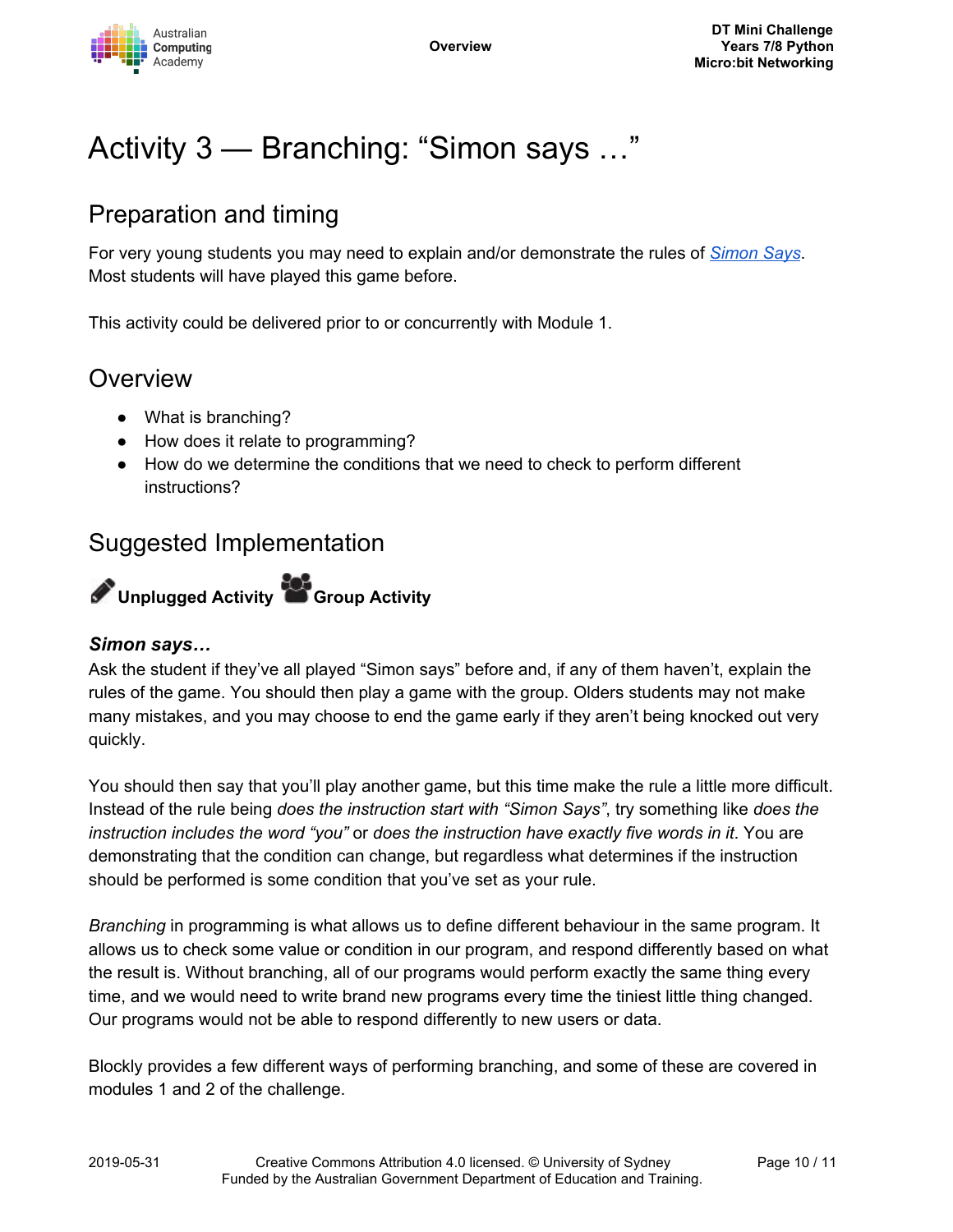

# Activity 3 — Branching: "Simon says …"

# Preparation and timing

For very young students you may need to explain and/or demonstrate the rules of *[Simon](https://en.wikipedia.org/wiki/Simon_Says) Says*. Most students will have played this game before.

This activity could be delivered prior to or concurrently with Module 1.

## **Overview**

- What is branching?
- How does it relate to programming?
- How do we determine the conditions that we need to check to perform different instructions?

## Suggested Implementation



#### *Simon says…*

Ask the student if they've all played "Simon says" before and, if any of them haven't, explain the rules of the game. You should then play a game with the group. Olders students may not make many mistakes, and you may choose to end the game early if they aren't being knocked out very quickly.

You should then say that you'll play another game, but this time make the rule a little more difficult. Instead of the rule being *does the instruction start with "Simon Says"*, try something like *does the instruction includes the word "you"* or *does the instruction have exactly five words in it*. You are demonstrating that the condition can change, but regardless what determines if the instruction should be performed is some condition that you've set as your rule.

*Branching* in programming is what allows us to define different behaviour in the same program. It allows us to check some value or condition in our program, and respond differently based on what the result is. Without branching, all of our programs would perform exactly the same thing every time, and we would need to write brand new programs every time the tiniest little thing changed. Our programs would not be able to respond differently to new users or data.

Blockly provides a few different ways of performing branching, and some of these are covered in modules 1 and 2 of the challenge.